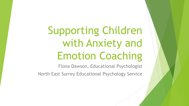Supporting Children with Anxiety and Emotion Coaching

Fiona Dawson, Educational Psychologist North East Surrey Educational Psychology Service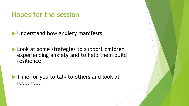#### Hopes for the session

**I** Understand how anxiety manifests

**Look at some strategies to support children** experiencing anxiety and to help them build resilience

Time for you to talk to others and look at resources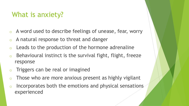## What is anxiety?

- o A word used to describe feelings of unease, fear, worry
- o A natural response to threat and danger
- $\circ$  Leads to the production of the hormone adrenaline
- Behavioural instinct is the survival fight, flight, freeze response
- o Triggers can be real or imagined
- Those who are more anxious present as highly vigilant
- Incorporates both the emotions and physical sensations experienced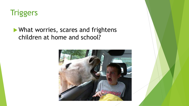

#### **What worries, scares and frightens** children at home and school?

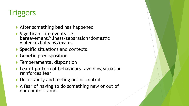# **Triggers**

- ▶ After something bad has happened
- Significant life events i.e. bereavement/illness/separation/domestic violence/bullying/exams
- ▶ Specific situations and contexts
- ▶ Genetic predisposition
- **F** Temperamental disposition
- ▶ Learnt pattern of behaviours- avoiding situation reinforces fear
- ▶ Uncertainty and feeling out of control
- A fear of having to do something new or out of our comfort zone.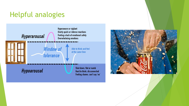## Helpful analogies



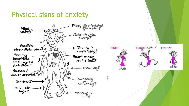### Physical signs of anxiety





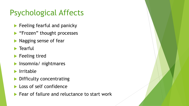# Psychological Affects

- **Feeling fearful and panicky**
- **Figure 1-13 Frozen**" thought processes
- **Nagging sense of fear**
- $\blacktriangleright$  Tearful
- **Feeling tired**
- **Insomnia/ nightmares**
- Irritable
- Difficulty concentrating
- Loss of self confidence
- Fear of failure and reluctance to start work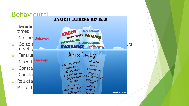

**GOZEN.COM**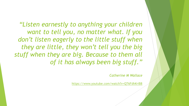*"Listen earnestly to anything your children want to tell you, no matter what. If you don't listen eagerly to the little stuff when they are little, they won't tell you the big stuff when they are big. Because to them all of it has always been big stuff."*

*Catherine M Wallace*

<https://www.youtube.com/watch?v=QT6FdhKriB8>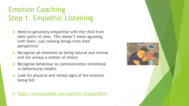# Emotion Coaching Step 1. Empathic Listening

- o Need to genuinely empathise with the child from their point of view. This doesn't mean agreeing with them, just viewing things from their perspective
- **o** Recognise all emotions as being natural and normal and not always a matter of choice
- Recognise behaviour as communication (relational vs behavioural model)
- Look for physical and verbal signs of the emotion being felt

<https://www.youtube.com/watch?v=1Evwgu369Jw>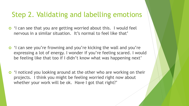### Step 2. Validating and labelling emotions

- 'I can see that you are getting worried about this. I would feel nervous in a similar situation. It's normal to feel like that'
- 'I can see you're frowning and you're kicking the wall and you're expressing a lot of energy. I wonder if you're feeling scared. I would be feeling like that too if I didn't know what was happening next'
- 'I noticed you looking around at the other who are working on their projects. I think you might be feeling worried right now about whether your work will be ok. Have I got that right?'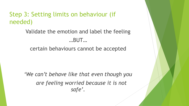#### Step 3: Setting limits on behaviour (if needed)

Validate the emotion and label the feeling …BUT…

certain behaviours cannot be accepted

*'We can't behave like that even though you are feeling worried because it is not safe'.*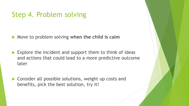### Step 4. Problem solving

Move to problem solving **when the child is calm**

- Explore the incident and support them to think of ideas and actions that could lead to a more predictive outcome later
- ▶ Consider all possible solutions, weight up costs and benefits, pick the best solution, try it!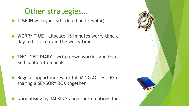# Other strategies…

**TIME IN with you (scheduled and regular)** 

- ▶ WORRY TIME allocate 15 minutes worry time a day to help contain the worry time
- **THOUGHT DIARY write down worries and fears** and contain to a book
- **Regular opportunities for CALMING ACTIVITIES or** sharing a SENSORY BOX together
- Normalising by TALKING about our emotions too

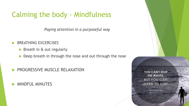### Calming the body - Mindfulness

*Paying attention in a purposeful way*

- BREATHING EXCERCISES
	- Breath in & out regularly
	- Deep breath in through the nose and out through the nose
- PROGRESSIVE MUSCLE RELAXATION
- **MINDFUL MINUTES**

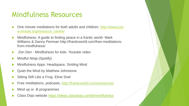### Mindfulness Resources

- [One minute meditations for both adults and children: http://www.just](http://www.just-a-minute.org/resource_centre/)a-minute.org/resource\_centre/
- Mindfulness: A guide to finding peace in a frantic world- Mark Williams & Danny Penman http://franticworld.com/free-meditationsfrom-mindfulness/
- Zen Den Mindfulness for kids- Youtube video
- Mindful Ninja (Spotify)
- Mindfulness Apps: Headspace, Smiling Mind
- Quiet the Mind by Matthew Johnstone
- Sitting Still Like a Frog- Eline Snel
- Free meditations, podcasts, <http://franticworld.com/resources/>
- Mind up or .B programmes
- Class Dojo website https://ideas.classdojo.com/b/mindfulness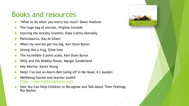### Books and resources

- 'What to do when you worry too much' Dawn Huebner
- The huge bag of worries, Virginia Ironside
- Starving the Anxiety Gremlin, Kate Collins-Donnelly
- Panicosaurus, Kay Al-Ghani
- When my worries get too big, Kari Dunn Buron
- Sitting like a frog, Eline Snel
- The incredible 5 point scale, Kari Dunn Buron
- Willy and the Wobbly House, Margot Sunderland
- Hey Warrior, Karen Young
- Help! I've Got an Alarm Bell Going off in My Head, K L Aspden
- Wellbeing Stories and teacher toolkit <https://www.wellbeingstories.com/>
- How You Can Help Children to Recognise and Talk About Their Feelings, Ros Bayley